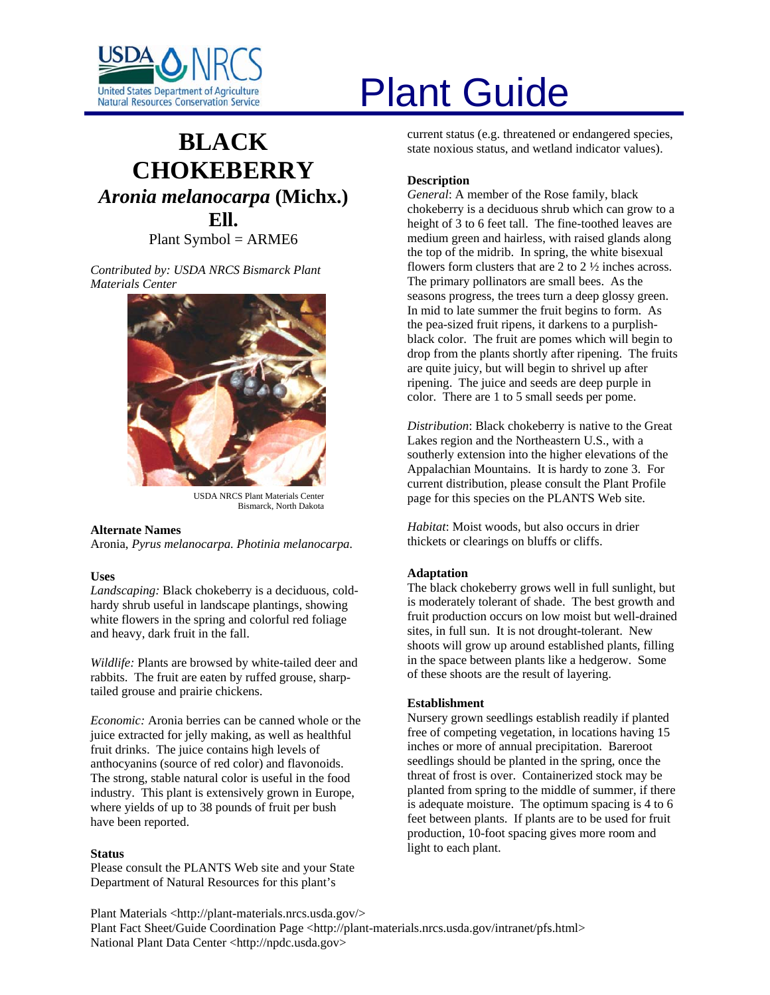

# **BLACK CHOKEBERRY** *Aronia melanocarpa* **(Michx.) Ell.**  Plant Symbol = ARME6

*Contributed by: USDA NRCS Bismarck Plant Materials Center* 



Bismarck, North Dakota

#### **Alternate Names**

Aronia, *Pyrus melanocarpa. Photinia melanocarpa.*

## **Uses**

*Landscaping:* Black chokeberry is a deciduous, coldhardy shrub useful in landscape plantings, showing white flowers in the spring and colorful red foliage and heavy, dark fruit in the fall.

*Wildlife:* Plants are browsed by white-tailed deer and rabbits. The fruit are eaten by ruffed grouse, sharptailed grouse and prairie chickens.

*Economic:* Aronia berries can be canned whole or the juice extracted for jelly making, as well as healthful fruit drinks. The juice contains high levels of anthocyanins (source of red color) and flavonoids. The strong, stable natural color is useful in the food industry. This plant is extensively grown in Europe, where yields of up to 38 pounds of fruit per bush have been reported.

#### **Status**

Please consult the PLANTS Web site and your State Department of Natural Resources for this plant's

# United States Department of Agriculture<br>Natural Resources Conservation Service

current status (e.g. threatened or endangered species, state noxious status, and wetland indicator values).

# **Description**

*General*: A member of the Rose family, black chokeberry is a deciduous shrub which can grow to a height of 3 to 6 feet tall. The fine-toothed leaves are medium green and hairless, with raised glands along the top of the midrib. In spring, the white bisexual flowers form clusters that are 2 to 2 ½ inches across. The primary pollinators are small bees. As the seasons progress, the trees turn a deep glossy green. In mid to late summer the fruit begins to form. As the pea-sized fruit ripens, it darkens to a purplishblack color. The fruit are pomes which will begin to drop from the plants shortly after ripening. The fruits are quite juicy, but will begin to shrivel up after ripening. The juice and seeds are deep purple in color. There are 1 to 5 small seeds per pome.

*Distribution*: Black chokeberry is native to the Great Lakes region and the Northeastern U.S., with a southerly extension into the higher elevations of the Appalachian Mountains. It is hardy to zone 3. For current distribution, please consult the Plant Profile USDA NRCS Plant Materials Center page for this species on the PLANTS Web site.

> *Habitat*: Moist woods, but also occurs in drier thickets or clearings on bluffs or cliffs.

## **Adaptation**

The black chokeberry grows well in full sunlight, but is moderately tolerant of shade. The best growth and fruit production occurs on low moist but well-drained sites, in full sun. It is not drought-tolerant. New shoots will grow up around established plants, filling in the space between plants like a hedgerow. Some of these shoots are the result of layering.

#### **Establishment**

Nursery grown seedlings establish readily if planted free of competing vegetation, in locations having 15 inches or more of annual precipitation. Bareroot seedlings should be planted in the spring, once the threat of frost is over. Containerized stock may be planted from spring to the middle of summer, if there is adequate moisture. The optimum spacing is 4 to 6 feet between plants. If plants are to be used for fruit production, 10-foot spacing gives more room and light to each plant.

Plant Materials <http://plant-materials.nrcs.usda.gov/> Plant Fact Sheet/Guide Coordination Page <http://plant-materials.nrcs.usda.gov/intranet/pfs.html> National Plant Data Center <http://npdc.usda.gov>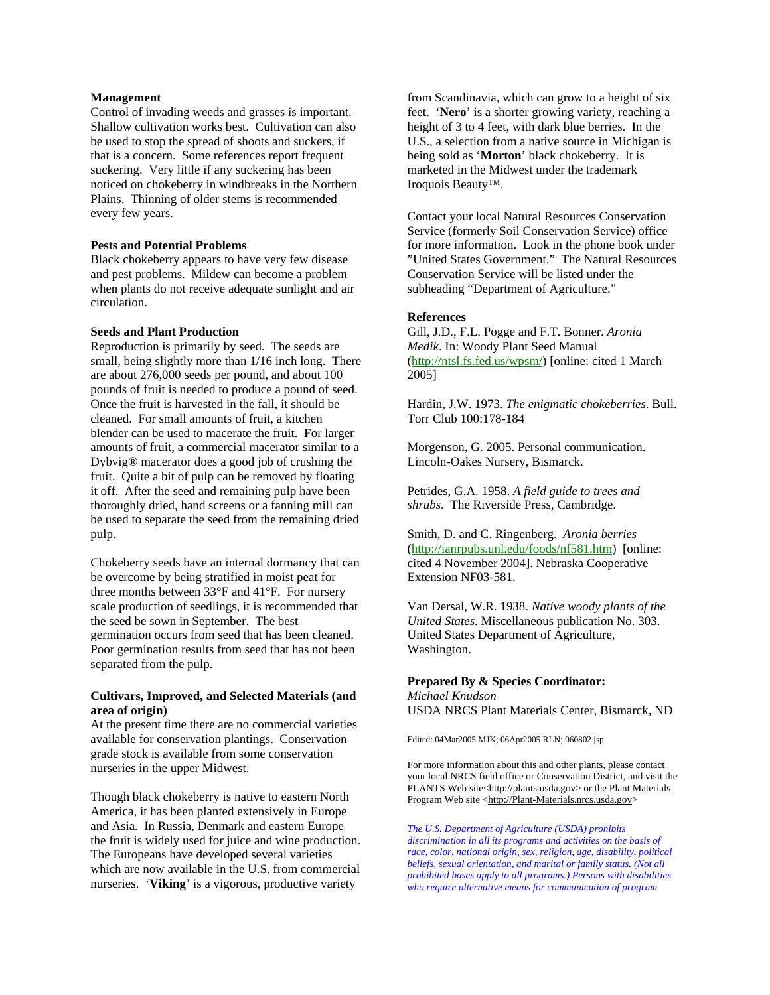#### **Management**

Control of invading weeds and grasses is important. Shallow cultivation works best. Cultivation can also be used to stop the spread of shoots and suckers, if that is a concern. Some references report frequent suckering. Very little if any suckering has been noticed on chokeberry in windbreaks in the Northern Plains. Thinning of older stems is recommended every few years.

#### **Pests and Potential Problems**

Black chokeberry appears to have very few disease and pest problems. Mildew can become a problem when plants do not receive adequate sunlight and air circulation.

#### **Seeds and Plant Production**

Reproduction is primarily by seed. The seeds are small, being slightly more than 1/16 inch long. There are about 276,000 seeds per pound, and about 100 pounds of fruit is needed to produce a pound of seed. Once the fruit is harvested in the fall, it should be cleaned. For small amounts of fruit, a kitchen blender can be used to macerate the fruit. For larger amounts of fruit, a commercial macerator similar to a Dybvig® macerator does a good job of crushing the fruit. Quite a bit of pulp can be removed by floating it off. After the seed and remaining pulp have been thoroughly dried, hand screens or a fanning mill can be used to separate the seed from the remaining dried pulp.

Chokeberry seeds have an internal dormancy that can be overcome by being stratified in moist peat for three months between 33°F and 41°F. For nursery scale production of seedlings, it is recommended that the seed be sown in September. The best germination occurs from seed that has been cleaned. Poor germination results from seed that has not been separated from the pulp.

#### **Cultivars, Improved, and Selected Materials (and area of origin)**

At the present time there are no commercial varieties available for conservation plantings. Conservation grade stock is available from some conservation nurseries in the upper Midwest.

Though black chokeberry is native to eastern North America, it has been planted extensively in Europe and Asia. In Russia, Denmark and eastern Europe the fruit is widely used for juice and wine production. The Europeans have developed several varieties which are now available in the U.S. from commercial nurseries. '**Viking**' is a vigorous, productive variety

from Scandinavia, which can grow to a height of six feet. '**Nero**' is a shorter growing variety, reaching a height of 3 to 4 feet, with dark blue berries. In the U.S., a selection from a native source in Michigan is being sold as '**Morton**' black chokeberry. It is marketed in the Midwest under the trademark Iroquois Beauty™.

Contact your local Natural Resources Conservation Service (formerly Soil Conservation Service) office for more information. Look in the phone book under "United States Government." The Natural Resources Conservation Service will be listed under the subheading "Department of Agriculture."

#### **References**

Gill, J.D., F.L. Pogge and F.T. Bonner. *Aronia Medik*. In: Woody Plant Seed Manual [\(http://ntsl.fs.fed.us/wpsm/](http://ntsl.fs.fed.us/wpsm/)) [online: cited 1 March 2005]

Hardin, J.W. 1973. *The enigmatic chokeberries*. Bull. Torr Club 100:178-184

Morgenson, G. 2005. Personal communication. Lincoln-Oakes Nursery, Bismarck.

Petrides, G.A. 1958. *A field guide to trees and shrubs*. The Riverside Press, Cambridge.

Smith, D. and C. Ringenberg. *Aronia berries*  [\(http://ianrpubs.unl.edu/foods/nf581.htm\)](http://ianrpubs.unl.edu/foods/nf581.htm) [online: cited 4 November 2004]. Nebraska Cooperative Extension NF03-581.

Van Dersal, W.R. 1938. *Native woody plants of the United States*. Miscellaneous publication No. 303. United States Department of Agriculture, Washington.

#### **Prepared By & Species Coordinator:**

*Michael Knudson*  USDA NRCS Plant Materials Center, Bismarck, ND

Edited: 04Mar2005 MJK; 06Apr2005 RLN; 060802 jsp

For more information about this and other plants, please contact your local NRCS field office or Conservation District, and visit the PLANTS Web site<[http://plants.usda.gov>](http://plants.usda.gov/) or the Plant Materials Program Web site [<http://Plant-Materials.nrcs.usda.gov>](http://plant-materials.nrcs.usda.gov/)

*The U.S. Department of Agriculture (USDA) prohibits discrimination in all its programs and activities on the basis of race, color, national origin, sex, religion, age, disability, political beliefs, sexual orientation, and marital or family status. (Not all prohibited bases apply to all programs.) Persons with disabilities who require alternative means for communication of program*